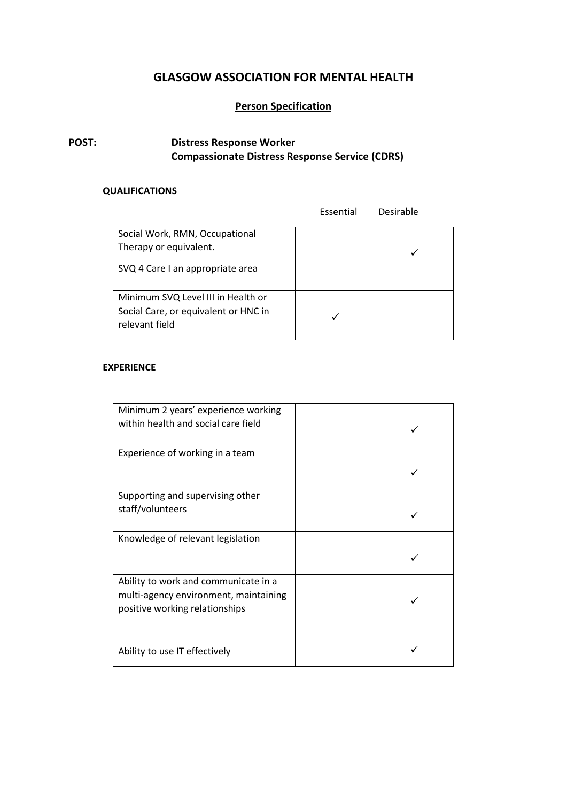# **GLASGOW ASSOCIATION FOR MENTAL HEALTH**

## **Person Specification**

## **POST: Distress Response Worker Compassionate Distress Response Service (CDRS)**

### **QUALIFICATIONS**

|                                                                                              | Essential | Desirable |
|----------------------------------------------------------------------------------------------|-----------|-----------|
| Social Work, RMN, Occupational<br>Therapy or equivalent.                                     |           |           |
| SVQ 4 Care I an appropriate area                                                             |           |           |
| Minimum SVQ Level III in Health or<br>Social Care, or equivalent or HNC in<br>relevant field |           |           |

#### **EXPERIENCE**

| Minimum 2 years' experience working<br>within health and social care field                                      |  |
|-----------------------------------------------------------------------------------------------------------------|--|
| Experience of working in a team                                                                                 |  |
| Supporting and supervising other<br>staff/volunteers                                                            |  |
| Knowledge of relevant legislation                                                                               |  |
| Ability to work and communicate in a<br>multi-agency environment, maintaining<br>positive working relationships |  |
| Ability to use IT effectively                                                                                   |  |